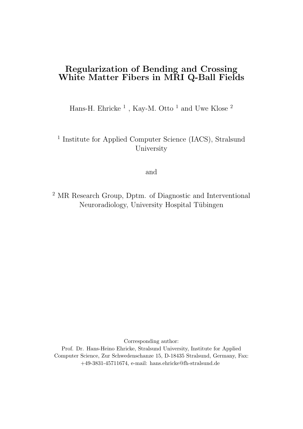## Regularization of Bending and Crossing White Matter Fibers in MRI Q-Ball Fields

Hans-H. Ehricke<sup>1</sup>, Kay-M. Otto<sup>1</sup> and Uwe Klose<sup>2</sup>

## <sup>1</sup> Institute for Applied Computer Science (IACS), Stralsund University

and

<sup>2</sup> MR Research Group, Dptm. of Diagnostic and Interventional Neuroradiology, University Hospital Tübingen

Corresponding author:

Prof. Dr. Hans-Heino Ehricke, Stralsund University, Institute for Applied Computer Science, Zur Schwedenschanze 15, D-18435 Stralsund, Germany, Fax: +49-3831-45711674, e-mail: hans.ehricke@fh-stralsund.de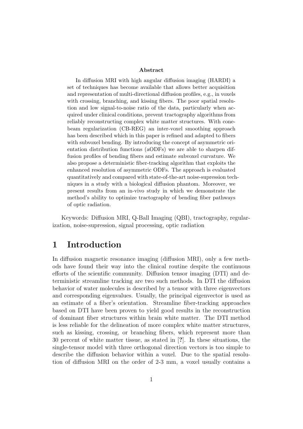#### Abstract

In diffusion MRI with high angular diffusion imaging (HARDI) a set of techniques has become available that allows better acquisition and representation of multi-directional diffusion profiles, e.g., in voxels with crossing, branching, and kissing fibers. The poor spatial resolution and low signal-to-noise ratio of the data, particularly when acquired under clinical conditions, prevent tractography algorithms from reliably reconstructing complex white matter structures. With conebeam regularization (CB-REG) an inter-voxel smoothing approach has been described which in this paper is refined and adapted to fibers with subvoxel bending. By introducing the concept of asymmetric orientation distribution functions (aODFs) we are able to sharpen diffusion profiles of bending fibers and estimate subvoxel curvature. We also propose a deterministic fiber-tracking algorithm that exploits the enhanced resolution of asymmetric ODFs. The approach is evaluated quantitatively and compared with state-of-the-art noise-supression techniques in a study with a biological diffusion phantom. Moreover, we present results from an in-vivo study in which we demonstrate the method's ability to optimize tractography of bending fiber pathways of optic radiation.

Keywords: Diffusion MRI, Q-Ball Imaging (QBI), tractography, regularization, noise-supression, signal processing, optic radiation

## 1 Introduction

In diffusion magnetic resonance imaging (diffusion MRI), only a few methods have found their way into the clinical routine despite the continuous efforts of the scientific community. Diffusion tensor imaging (DTI) and deterministic streamline tracking are two such methods. In DTI the diffusion behavior of water molecules is described by a tensor with three eigenvectors and corresponding eigenvalues. Usually, the principal eigenvector is used as an estimate of a fiber's orientation. Streamline fiber-tracking approaches based on DTI have been proven to yield good results in the reconstruction of dominant fiber structures within brain white matter. The DTI method is less reliable for the delineation of more complex white matter structures, such as kissing, crossing, or branching fibers, which represent more than 30 percent of white matter tissue, as stated in [?]. In these situations, the single-tensor model with three orthogonal direction vectors is too simple to describe the diffusion behavior within a voxel. Due to the spatial resolution of diffusion MRI on the order of 2-3 mm, a voxel usually contains a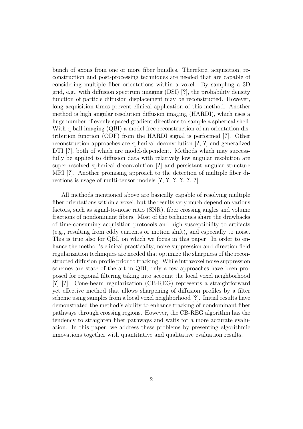bunch of axons from one or more fiber bundles. Therefore, acquisition, reconstruction and post-processing techniques are needed that are capable of considering multiple fiber orientations within a voxel. By sampling a 3D grid, e.g., with diffusion spectrum imaging (DSI) [?], the probability density function of particle diffusion displacement may be reconstructed. However, long acquisition times prevent clinical application of this method. Another method is high angular resolution diffusion imaging (HARDI), which uses a huge number of evenly spaced gradient directions to sample a spherical shell. With q-ball imaging (QBI) a model-free reconstruction of an orientation distribution function (ODF) from the HARDI signal is performed [?]. Other reconstruction approaches are spherical deconvolution [?, ?] and generalized DTI [?], both of which are model-dependent. Methods which may successfully be applied to diffusion data with relatively low angular resolution are super-resolved spherical deconvolution [?] and persistant angular structure MRI [?]. Another promising approach to the detection of multiple fiber directions is usage of multi-tensor models [?, ?, ?, ?, ?, ?].

All methods mentioned above are basically capable of resolving multiple fiber orientations within a voxel, but the results very much depend on various factors, such as signal-to-noise ratio (SNR), fiber crossing angles and volume fractions of nondominant fibers. Most of the techniques share the drawbacks of time-consuming acquisition protocols and high susceptibility to artifacts (e.g., resulting from eddy currents or motion shift), and especially to noise. This is true also for QBI, on which we focus in this paper. In order to enhance the method's clinical practicality, noise suppression and direction field regularization techniques are needed that optimize the sharpness of the reconstructed diffusion profile prior to tracking. While intravoxel noise suppression schemes are state of the art in QBI, only a few approaches have been proposed for regional filtering taking into account the local voxel neighborhood [?] [?]. Cone-beam regularization (CB-REG) represents a straightforward yet effective method that allows sharpening of diffusion profiles by a filter scheme using samples from a local voxel neighborhood [?]. Initial results have demonstrated the method's ability to enhance tracking of nondominant fiber pathways through crossing regions. However, the CB-REG algorithm has the tendency to straighten fiber pathways and waits for a more accurate evaluation. In this paper, we address these problems by presenting algorithmic innovations together with quantitative and qualitative evaluation results.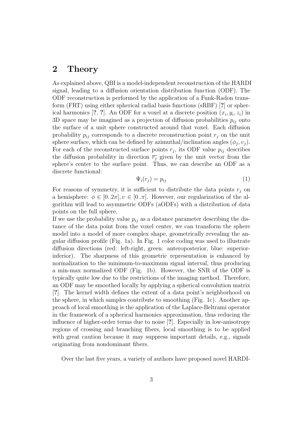### 2 Theory

As explained above, QBI is a model-independent reconstruction of the HARDI signal, leading to a diffusion orientation distribution function (ODF). The ODF reconstruction is performed by the application of a Funk-Radon transform (FRT) using either spherical radial basis functions (sRBF) [?] or spherical harmonics [?, ?]. An ODF for a voxel at a discrete position  $(x_i, y_i, z_i)$  in 3D space may be imagined as a projection of diffusion probabilities  $p_{ij}$  onto the surface of a unit sphere constructed around that voxel. Each diffusion probability  $p_{ij}$  corresponds to a discrete reconstruction point  $r_j$  on the unit sphere surface, which can be defined by azimuthal/inclination angles  $(\phi_j, v_j)$ . For each of the reconstructed surface points  $r_j$ , its ODF value  $p_{ij}$  describes the diffusion probability in direction  $\overline{r_j}$  given by the unit vector from the sphere's center to the surface point. Thus, we can describe an ODF as a discrete functional:

$$
\Psi_i(r_j) = p_{ij} \tag{1}
$$

For reasons of symmetry, it is sufficient to distribute the data points  $r_i$  on a hemisphere:  $\phi \in [0..2\pi], v \in [0..\pi]$ . However, our regularization of the algorithm will lead to asymmetric ODFs (aODFs) with a distribution of data points on the full sphere.

If we use the probability value  $p_{ij}$  as a distance parameter describing the distance of the data point from the voxel center, we can transform the sphere model into a model of more complex shape, geometrically revealing the angular diffusion profile (Fig. 1a). In Fig. 1 color coding was used to illustrate diffusion directions (red: left-right, green: anteroposterior, blue: superiorinferior). The sharpness of this geometric representation is enhanced by normalization to the minimum-to-maximum signal interval, thus producing a min-max normalized ODF (Fig. 1b). However, the SNR of the ODF is typically quite low due to the restrictions of the imaging method. Therefore, an ODF may be smoothed locally by applying a spherical convolution matrix [?]. The kernel width defines the extent of a data point's neighborhood on the sphere, in which samples contribute to smoothing (Fig. 1c). Another approach of local smoothing is the application of the Laplace-Beltrami operator in the framework of a spherical harmonics approximation, thus reducing the influence of higher-order terms due to noise [?]. Especially in low-anisotropy regions of crossing and branching fibers, local smoothing is to be applied with great caution because it may suppress important details, e.g., signals originating from nondominant fibers.

Over the last five years, a variety of authors have proposed novel HARDI-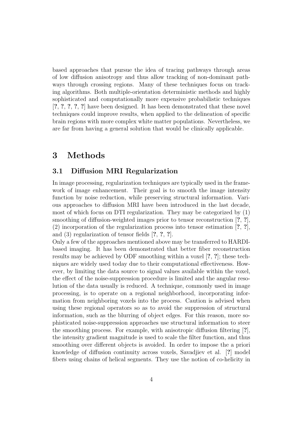based approaches that pursue the idea of tracing pathways through areas of low diffusion anisotropy and thus allow tracking of non-dominant pathways through crossing regions. Many of these techniques focus on tracking algorithms. Both multiple-orientation deterministic methods and highly sophisticated and computationally more expensive probabilistic techniques [?, ?, ?, ?, ?] have been designed. It has been demonstrated that these novel techniques could improve results, when applied to the delineation of specific brain regions with more complex white matter populations. Nevertheless, we are far from having a general solution that would be clinically applicable.

## 3 Methods

### 3.1 Diffusion MRI Regularization

In image processing, regularization techniques are typically used in the framework of image enhancement. Their goal is to smooth the image intensity function by noise reduction, while preserving structural information. Various approaches to diffusion MRI have been introduced in the last decade, most of which focus on DTI regularization. They may be categorized by (1) smoothing of diffusion-weighted images prior to tensor reconstruction [?, ?], (2) incorporation of the regularization process into tensor estimation [?, ?], and (3) regularization of tensor fields [?, ?, ?].

Only a few of the approaches mentioned above may be transferred to HARDIbased imaging. It has been demonstrated that better fiber reconstruction results may be achieved by ODF smoothing within a voxel [?, ?]; these techniques are widely used today due to their computational effectiveness. However, by limiting the data source to signal values available within the voxel, the effect of the noise-suppression procedure is limited and the angular resolution of the data usually is reduced. A technique, commonly used in image processing, is to operate on a regional neighborhood, incorporating information from neighboring voxels into the process. Caution is advised when using these regional operators so as to avoid the suppression of structural information, such as the blurring of object edges. For this reason, more sophisticated noise-suppression approaches use structural information to steer the smoothing process. For example, with anisotropic diffusion filtering [?], the intensity gradient magnitude is used to scale the filter function, and thus smoothing over different objects is avoided. In order to impose the a priori knowledge of diffusion continuity across voxels, Savadjiev et al. [?] model fibers using chains of helical segments. They use the notion of co-helicity in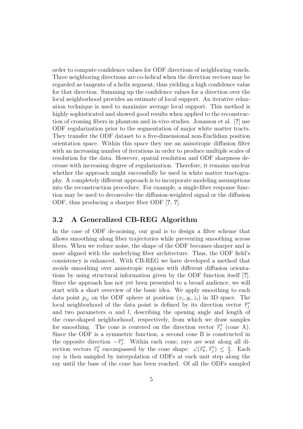order to compute confidence values for ODF directions of neighboring voxels. Three neighboring directions are co-helical when the direction vectors may be regarded as tangents of a helix segment, thus yielding a high confidence value for that direction. Summing up the confidence values for a direction over the local neighborhood provides an estimate of local support. An iterative relaxation technique is used to maximize average local support. This method is highly sophisticated and showed good results when applied to the reconstruction of crossing fibers in phantom and in-vivo studies. Jonasson et al. [?] use ODF regularization prior to the segmentation of major white matter tracts. They transfer the ODF dataset to a five-dimensional non-Euclidian position orientation space. Within this space they use an anisotropic diffusion filter with an increasing number of iterations in order to produce multiple scales of resolution for the data. However, spatial resolution and ODF sharpness decrease with increasing degree of regularization. Therefore, it remains unclear whether the approach might successfully be used in white matter tractography. A completely different approach is to incorporate modeling assumptions into the reconstruction procedure. For example, a single-fiber response function may be used to deconvolve the diffusion-weighted signal or the diffusion ODF, thus producing a sharper fiber ODF [?, ?].

### 3.2 A Generalized CB-REG Algorithm

In the case of ODF de-noising, our goal is to design a filter scheme that allows smoothing along fiber trajectories while preventing smoothing across fibers. When we reduce noise, the shape of the ODF becomes sharper and is more aligned with the underlying fiber architecture. Thus, the ODF field's consistency is enhanced. With CB-REG we have developed a method that avoids smoothing over anisotropic regions with different diffusion orientations by using structural information given by the ODF function itself [?]. Since the approach has not yet been presented to a broad audience, we will start with a short overview of the basic idea. We apply smoothing to each data point  $p_{ij}$  on the ODF sphere at position  $(x_i, y_i, z_i)$  in 3D space. The local neighborhood of the data point is defined by its direction vector  $\overrightarrow{r_i}$ and two parameters  $\alpha$  and l, describing the opening angle and length of the cone-shaped neighborhood, respectively, from which we draw samples for smoothing. The cone is centered on the direction vector  $\overrightarrow{r_i}$  (cone A). Since the ODF is a symmetric function, a second cone B is constructed in the opposite direction  $-\overrightarrow{r_j}$ . Within each cone, rays are sent along all direction vectors  $\overrightarrow{r_k}$  encompassed by the cone shape:  $\angle(\overrightarrow{r_k}, \overrightarrow{r_j}) \leq \frac{\alpha}{2}$  $\frac{\alpha}{2}$ . Each ray is then sampled by interpolation of ODFs at each unit step along the ray until the base of the cone has been reached. Of all the ODFs sampled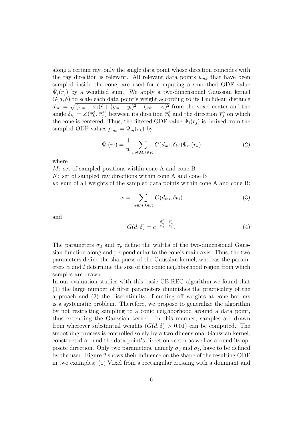along a certain ray, only the single data point whose direction coincides with the ray direction is relevant. All relevant data points  $p_{mk}$  that have been sampled inside the cone, are used for computing a smoothed ODF value  $\tilde{\Psi}_i(\vec{r}_j)$  by a weighted sum. We apply a two-dimensional Gaussian kernel  $G(d, \delta)$  to scale each data point's weight according to its Euclidean distance  $d_{mi} = \sqrt{(x_m - x_i)^2 + (y_m - y_i)^2 + (z_m - z_i)^2}$  from the voxel center and the angle  $\delta_{kj} = \angle(\overrightarrow{r_k}, \overrightarrow{r_j})$  between its direction  $\overrightarrow{r_k}$  and the direction  $\overrightarrow{r_j}$  on which the cone is centered. Thus, the filtered ODF value  $\tilde{\Psi}_i(r_j)$  is derived from the sampled ODF values  $p_{mk} = \Psi_m(r_k)$  by

$$
\tilde{\Psi}_i(r_j) = \frac{1}{w} \sum_{m \in M, k \in K} G(d_{mi}, \delta_{kj}) \Psi_m(r_k)
$$
\n(2)

where

M: set of sampled positions within cone A and cone B K: set of sampled ray directions within cone A and cone B w: sum of all weights of the sampled data points within cone A and cone B:

$$
w = \sum_{m \in M, k \in K} G(d_{mi}, \delta_{kj})
$$
\n(3)

and

$$
G(d,\delta) = e^{-\frac{d^2}{\sigma_d^2} - \frac{\delta^2}{\sigma_\delta^2}}.
$$
\n
$$
(4)
$$

The parameters  $\sigma_d$  and  $\sigma_\delta$  define the widths of the two-dimensional Gaussian function along and perpendicular to the cone's main axis. Thus, the two parameters define the sharpness of the Gaussian kernel, whereas the parameters  $\alpha$  and l determine the size of the conic neighborhood region from which samples are drawn.

In our evaluation studies with this basic CB-REG algorithm we found that (1) the large number of filter parameters diminishes the practicality of the approach and (2) the discontinuity of cutting off weights at cone borders is a systematic problem. Therefore, we propose to generalize the algorithm by not restricting sampling to a conic neighborhood around a data point, thus extending the Gaussian kernel. In this manner, samples are drawn from wherever substantial weights  $(G(d, \delta) > 0.01)$  can be computed. The smoothing process is controlled solely by a two-dimensional Gaussian kernel, constructed around the data point's direction vector as well as around its opposite direction. Only two parameters, namely  $\sigma_d$  and  $\sigma_{\delta}$ , have to be defined by the user. Figure 2 shows their influence on the shape of the resulting ODF in two examples: (1) Voxel from a rectangular crossing with a dominant and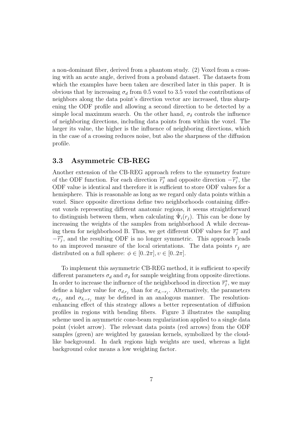a non-dominant fiber, derived from a phantom study. (2) Voxel from a crossing with an acute angle, derived from a proband dataset. The datasets from which the examples have been taken are described later in this paper. It is obvious that by increasing  $\sigma_d$  from 0.5 voxel to 3.5 voxel the contributions of neighbors along the data point's direction vector are increased, thus sharpening the ODF profile and allowing a second direction to be detected by a simple local maximum search. On the other hand,  $\sigma_{\delta}$  controls the influence of neighboring directions, including data points from within the voxel. The larger its value, the higher is the influence of neighboring directions, which in the case of a crossing reduces noise, but also the sharpness of the diffusion profile.

### 3.3 Asymmetric CB-REG

Another extension of the CB-REG approach refers to the symmetry feature of the ODF function. For each direction  $\overrightarrow{r_j}$  and opposite direction  $-\overrightarrow{r_j}$ , the ODF value is identical and therefore it is sufficient to store ODF values for a hemisphere. This is reasonable as long as we regard only data points within a voxel. Since opposite directions define two neighborhoods containing different voxels representing different anatomic regions, it seems straightforward to distinguish between them, when calculating  $\tilde{\Psi}_i(r_j)$ . This can be done by increasing the weights of the samples from neighborhood A while decreasing them for neighborhood B. Thus, we get different ODF values for  $\overrightarrow{r_i}$  and  $-\overrightarrow{r_j}$ , and the resulting ODF is no longer symmetric. This approach leads to an improved measure of the local orientations. The data points  $r_i$  are distributed on a full sphere:  $\phi \in [0..2\pi], v \in [0..2\pi]$ .

To implement this asymmetric CB-REG method, it is sufficient to specify different parameters  $\sigma_d$  and  $\sigma_\delta$  for sample weighting from opposite directions. In order to increase the influence of the neighborhood in direction  $\overrightarrow{r_j}$ , we may define a higher value for  $\sigma_{d,r_j}$  than for  $\sigma_{d,-r_j}$ . Alternatively, the parameters  $\sigma_{\delta,r_j}$  and  $\sigma_{\delta,-r_j}$  may be defined in an analogous manner. The resolutionenhancing effect of this strategy allows a better representation of diffusion profiles in regions with bending fibers. Figure 3 illustrates the sampling scheme used in asymmetric cone-beam regularization applied to a single data point (violet arrow). The relevant data points (red arrows) from the ODF samples (green) are weighted by gaussian kernels, symbolized by the cloudlike background. In dark regions high weights are used, whereas a light background color means a low weighting factor.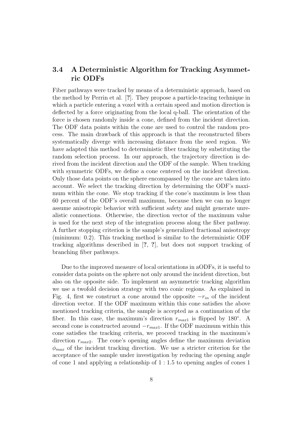### 3.4 A Deterministic Algorithm for Tracking Asymmetric ODFs

Fiber pathways were tracked by means of a deterministic approach, based on the method by Perrin et al. [?]. They propose a particle-tracing technique in which a particle entering a voxel with a certain speed and motion direction is deflected by a force originating from the local q-ball. The orientation of the force is chosen randomly inside a cone, defined from the incident direction. The ODF data points within the cone are used to control the random process. The main drawback of this approach is that the reconstructed fibers systematically diverge with increasing distance from the seed region. We have adapted this method to deterministic fiber tracking by substituting the random selection process. In our approach, the trajectory direction is derived from the incident direction and the ODF of the sample. When tracking with symmetric ODFs, we define a cone centered on the incident direction. Only those data points on the sphere encompassed by the cone are taken into account. We select the tracking direction by determining the ODF's maximum within the cone. We stop tracking if the cone's maximum is less than 60 percent of the ODF's overall maximum, because then we can no longer assume anisotropic behavior with sufficient safety and might generate unrealistic connections. Otherwise, the direction vector of the maximum value is used for the next step of the integration process along the fiber pathway. A further stopping criterion is the sample's generalized fractional anisotropy (minimum: 0.2). This tracking method is similar to the deterministic ODF tracking algorithms described in [?, ?], but does not support tracking of branching fiber pathways.

Due to the improved measure of local orientations in aODFs, it is useful to consider data points on the sphere not only around the incident direction, but also on the opposite side. To implement an asymmetric tracking algorithm we use a twofold decision strategy with two conic regions. As explained in Fig. 4, first we construct a cone around the opposite  $-r_{in}$  of the incident direction vector. If the ODF maximum within this cone satisfies the above mentioned tracking criteria, the sample is accepted as a continuation of the fiber. In this case, the maximum's direction  $r_{max1}$  is flipped by 180°. A second cone is constructed around  $-r_{max1}$ . If the ODF maximum within this cone satisfies the tracking criteria, we proceed tracking in the maximum's direction  $r_{max2}$ . The cone's opening angles define the maximum deviation  $\phi_{max}$  of the incident tracking direction. We use a stricter criterion for the acceptance of the sample under investigation by reducing the opening angle of cone 1 and applying a relationship of 1 : 1.5 to opening angles of cones 1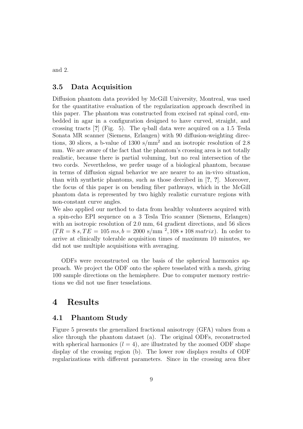and 2.

### 3.5 Data Acquisition

Diffusion phantom data provided by McGill University, Montreal, was used for the quantitative evaluation of the regularization approach described in this paper. The phantom was constructed from excised rat spinal cord, embedded in agar in a configuration designed to have curved, straight, and crossing tracts [?] (Fig. 5). The q-ball data were acquired on a 1.5 Tesla Sonata MR scanner (Siemens, Erlangen) with 90 diffusion-weighting directions, 30 slices, a b-value of  $1300 \text{ s/mm}^2$  and an isotropic resolution of 2.8 mm. We are aware of the fact that the phantom's crossing area is not totally realistic, because there is partial voluming, but no real intersection of the two cords. Nevertheless, we prefer usage of a biological phantom, because in terms of diffusion signal behavior we are nearer to an in-vivo situation, than with synthetic phantoms, such as those decribed in [?, ?]. Moreover, the focus of this paper is on bending fiber pathways, which in the McGill phantom data is represented by two highly realistic curvature regions with non-constant curve angles.

We also applied our method to data from healthy volunteers acquired with a spin-echo EPI sequence on a 3 Tesla Trio scanner (Siemens, Erlangen) with an isotropic resolution of 2.0 mm, 64 gradient directions, and 56 slices  $(TR = 8 \text{ s}, TE = 105 \text{ ms}, b = 2000 \text{ s/mm}^2, 108 * 108 \text{ matrix}.$  In order to arrive at clinically tolerable acquisition times of maximum 10 minutes, we did not use multiple acquisitions with averaging.

ODFs were reconstructed on the basis of the spherical harmonics approach. We project the ODF onto the sphere tesselated with a mesh, giving 100 sample directions on the hemisphere. Due to computer memory restrictions we did not use finer tesselations.

## 4 Results

#### 4.1 Phantom Study

Figure 5 presents the generalized fractional anisotropy (GFA) values from a slice through the phantom dataset (a). The original ODFs, reconstructed with spherical harmonics  $(l = 4)$ , are illustrated by the zoomed ODF shape display of the crossing region (b). The lower row displays results of ODF regularizations with different parameters. Since in the crossing area fiber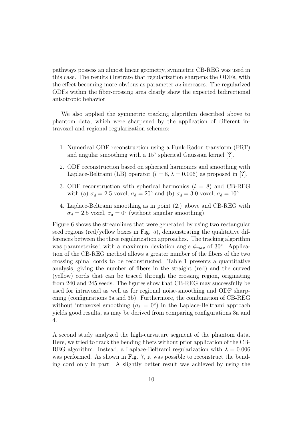pathways possess an almost linear geometry, symmetric CB-REG was used in this case. The results illustrate that regularization sharpens the ODFs, with the effect becoming more obvious as parameter  $\sigma_d$  increases. The regularized ODFs within the fiber-crossing area clearly show the expected bidirectional anisotropic behavior.

We also applied the symmetric tracking algorithm described above to phantom data, which were sharpened by the application of different intravoxel and regional regularization schemes:

- 1. Numerical ODF reconstruction using a Funk-Radon transform (FRT) and angular smoothing with a 15° spherical Gaussian kernel [?].
- 2. ODF reconstruction based on spherical harmonics and smoothing with Laplace-Beltrami (LB) operator ( $l = 8, \lambda = 0.006$ ) as proposed in [?].
- 3. ODF reconstruction with spherical harmonics  $(l = 8)$  and CB-REG with (a)  $\sigma_d = 2.5$  voxel,  $\sigma_{\delta} = 20^{\circ}$  and (b)  $\sigma_d = 3.0$  voxel,  $\sigma_{\delta} = 10^{\circ}$ .
- 4. Laplace-Beltrami smoothing as in point (2.) above and CB-REG with  $\sigma_d = 2.5$  voxel,  $\sigma_{\delta} = 0^{\circ}$  (without angular smoothing).

Figure 6 shows the streamlines that were generated by using two rectangular seed regions (red/yellow boxes in Fig. 5), demonstrating the qualitative differences between the three regularization approaches. The tracking algorithm was parameterized with a maximum deviation angle  $\phi_{max}$  of 30°. Application of the CB-REG method allows a greater number of the fibers of the two crossing spinal cords to be reconstructed. Table 1 presents a quantitative analysis, giving the number of fibers in the straight (red) and the curved (yellow) cords that can be traced through the crossing region, originating from 240 and 245 seeds. The figures show that CB-REG may successfully be used for intravoxel as well as for regional noise-smoothing and ODF sharpening (configurations 3a and 3b). Furthermore, the combination of CB-REG without intravoxel smoothing ( $\sigma_{\delta} = 0^{\circ}$ ) in the Laplace-Beltrami approach yields good results, as may be derived from comparing configurations 3a and 4.

A second study analyzed the high-curvature segment of the phantom data. Here, we tried to track the bending fibers without prior application of the CB-REG algorithm. Instead, a Laplace-Beltrami regularization with  $\lambda = 0.006$ was performed. As shown in Fig. 7, it was possible to reconstruct the bending cord only in part. A slightly better result was achieved by using the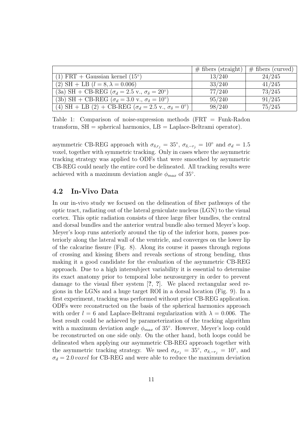|                                                                                 | $\#$ fibers (straight) | $\#$ fibers (curved) |
|---------------------------------------------------------------------------------|------------------------|----------------------|
| $(1) FRT + Gaussian kernel (15o)$                                               | 13/240                 | 24/245               |
| (2) SH + LB ( $l = 8, \lambda = 0.006$ )                                        | 33/240                 | 41/245               |
| (3a) SH + CB-REG ( $\sigma_d = 2.5$ v., $\sigma_{\delta} = 20^{\circ}$ )        | 77/240                 | 73/245               |
| (3b) SH + CB-REG ( $\sigma_d = 3.0$ v., $\sigma_\delta = 10^\circ$ )            | 95/240                 | 91/245               |
| (4) SH + LB (2) + CB-REG ( $\sigma_d = 2.5$ v., $\sigma_{\delta} = 0^{\circ}$ ) | 98/240                 | 75/245               |

Table 1: Comparison of noise-supression methods (FRT = Funk-Radon transform,  $SH =$  spherical harmonics,  $LB =$  Laplace-Beltrami operator).

asymmetric CB-REG approach with  $\sigma_{\delta,r_j} = 35^{\circ}$ ,  $\sigma_{\delta,-r_j} = 10^{\circ}$  and  $\sigma_d = 1.5$ voxel, together with symmetric tracking. Only in cases where the asymmetric tracking strategy was applied to ODFs that were smoothed by asymmetric CB-REG could nearly the entire cord be delineated. All tracking results were achieved with a maximum deviation angle  $\phi_{max}$  of 35°.

### 4.2 In-Vivo Data

In our in-vivo study we focused on the delineation of fiber pathways of the optic tract, radiating out of the lateral geniculate nucleus (LGN) to the visual cortex. This optic radiation consists of three large fiber bundles, the central and dorsal bundles and the anterior ventral bundle also termed Meyer's loop. Meyer's loop runs anteriorly around the tip of the inferior horn, passes posteriorly along the lateral wall of the ventricle, and converges on the lower lip of the calcarine fissure (Fig. 8). Along its course it passes through regions of crossing and kissing fibers and reveals sections of strong bending, thus making it a good candidate for the evaluation of the asymmetric CB-REG approach. Due to a high intersubject variability it is essential to determine its exact anatomy prior to temporal lobe neurosurgery in order to prevent damage to the visual fiber system [?, ?]. We placed rectangular seed regions in the LGNs and a huge target ROI in a dorsal location (Fig. 9). In a first experiment, tracking was performed without prior CB-REG application. ODFs were reconstructed on the basis of the spherical harmonics approach with order  $l = 6$  and Laplace-Beltrami regularization with  $\lambda = 0.006$ . The best result could be achieved by parameterization of the tracking algorithm with a maximum deviation angle  $\phi_{max}$  of 35°. However, Meyer's loop could be reconstructed on one side only. On the other hand, both loops could be delineated when applying our asymmetric CB-REG approach together with the asymmetric tracking strategy. We used  $\sigma_{\delta,r_j} = 35^{\circ}, \sigma_{\delta,-r_j} = 10^{\circ},$  and  $\sigma_d = 2.0$  voxel for CB-REG and were able to reduce the maximum deviation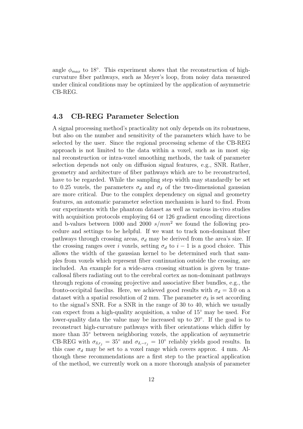angle  $\phi_{max}$  to 18°. This experiment shows that the reconstruction of highcurvature fiber pathways, such as Meyer's loop, from noisy data measured under clinical conditions may be optimized by the application of asymmetric CB-REG.

#### 4.3 CB-REG Parameter Selection

A signal processing method's practicality not only depends on its robustness, but also on the number and sensitivity of the parameters which have to be selected by the user. Since the regional processing scheme of the CB-REG approach is not limited to the data within a voxel, such as in most signal reconstruction or intra-voxel smoothing methods, the task of parameter selection depends not only on diffusion signal features, e.g., SNR. Rather, geometry and architecture of fiber pathways which are to be reconstructed, have to be regarded. While the sampling step width may standardly be set to 0.25 voxels, the parameters  $\sigma_d$  and  $\sigma_{\delta}$  of the two-dimensional gaussian are more critical. Due to the complex dependency on signal and geometry features, an automatic parameter selection mechanism is hard to find. From our experiments with the phantom dataset as well as various in-vivo studies with acquisition protocols employing 64 or 126 gradient encoding directions and b-values between 1000 and 2000  $s/mm^2$  we found the following procedure and settings to be helpful. If we want to track non-dominant fiber pathways through crossing areas,  $\sigma_d$  may be derived from the area's size. If the crossing ranges over i voxels, setting  $\sigma_d$  to  $i-1$  is a good choice. This allows the width of the gaussian kernel to be determined such that samples from voxels which represent fiber continuation outside the crossing, are included. An example for a wide-area crossing situation is given by transcallosal fibers radiating out to the cerebral cortex as non-dominant pathways through regions of crossing projective and associative fiber bundles, e.g., the fronto-occipital fascilus. Here, we achieved good results with  $\sigma_d = 3.0$  on a dataset with a spatial resolution of 2 mm. The parameter  $\sigma_{\delta}$  is set according to the signal's SNR. For a SNR in the range of 30 to 40, which we usually can expect from a high-quality acquisition, a value of 15◦ may be used. For lower-quality data the value may be increased up to 20°. If the goal is to reconstruct high-curvature pathways with fiber orientations which differ by more than 35◦ between neighboring voxels, the application of asymmetric CB-REG with  $\sigma_{\delta,r_j} = 35^{\circ}$  and  $\sigma_{\delta,-r_j} = 10^{\circ}$  reliably yields good results. In this case  $\sigma_d$  may be set to a voxel range which covers approx. 4 mm. Although these recommendations are a first step to the practical application of the method, we currently work on a more thorough analysis of parameter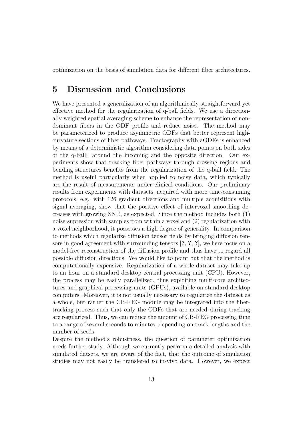optimization on the basis of simulation data for different fiber architectures.

## 5 Discussion and Conclusions

We have presented a generalization of an algorithmically straightforward yet effective method for the regularization of q-ball fields. We use a directionally weighted spatial averaging scheme to enhance the representation of nondominant fibers in the ODF profile and reduce noise. The method may be parameterized to produce asymmetric ODFs that better represent highcurvature sections of fiber pathways. Tractography with aODFs is enhanced by means of a deterministic algorithm considering data points on both sides of the q-ball: around the incoming and the opposite direction. Our experiments show that tracking fiber pathways through crossing regions and bending structures benefits from the regularization of the q-ball field. The method is useful particularly when applied to noisy data, which typically are the result of measurements under clinical conditions. Our preliminary results from experiments with datasets, acquired with more time-consuming protocols, e.g., with 126 gradient directions and multiple acquisitions with signal averaging, show that the positive effect of intervoxel smoothing decreases with growing SNR, as expected. Since the method includes both (1) noise-supression with samples from within a voxel and (2) regularization with a voxel neighborhood, it possesses a high degree of generality. In comparison to methods which regularize diffusion tensor fields by bringing diffusion tensors in good agreement with surrounding tensors [?, ?, ?], we here focus on a model-free reconstruction of the diffusion profile and thus have to regard all possible diffusion directions. We would like to point out that the method is computationally expensive. Regularization of a whole dataset may take up to an hour on a standard desktop central processing unit (CPU). However, the process may be easily parallelized, thus exploiting multi-core architectures and graphical processing units (GPUs), available on standard desktop computers. Moreover, it is not usually necessary to regularize the dataset as a whole, but rather the CB-REG module may be integrated into the fibertracking process such that only the ODFs that are needed during tracking are regularized. Thus, we can reduce the amount of CB-REG processing time to a range of several seconds to minutes, depending on track lengths and the number of seeds.

Despite the method's robustness, the question of parameter optimization needs further study. Although we currently perform a detailed analysis with simulated datsets, we are aware of the fact, that the outcome of simulation studies may not easily be transfered to in-vivo data. However, we expect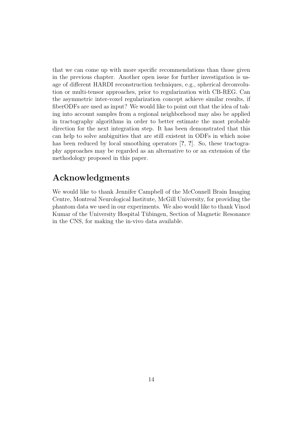that we can come up with more specific recommendations than those given in the previous chapter. Another open issue for further investigation is usage of different HARDI reconstruction techniques, e.g., spherical deconvolution or multi-tensor approaches, prior to regularization with CB-REG. Can the asymmetric inter-voxel regularization concept achieve similar results, if fiberODFs are used as input? We would like to point out that the idea of taking into account samples from a regional neighborhood may also be applied in tractography algorithms in order to better estimate the most probable direction for the next integration step. It has been demonstrated that this can help to solve ambiguities that are still existent in ODFs in which noise has been reduced by local smoothing operators [?, ?]. So, these tractography approaches may be regarded as an alternative to or an extension of the methodology proposed in this paper.

# Acknowledgments

We would like to thank Jennifer Campbell of the McConnell Brain Imaging Centre, Montreal Neurological Institute, McGill University, for providing the phantom data we used in our experiments. We also would like to thank Vinod Kumar of the University Hospital Tübingen, Section of Magnetic Resonance in the CNS, for making the in-vivo data available.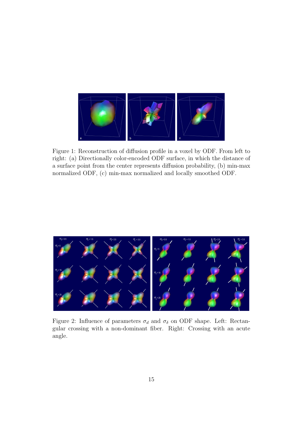

Figure 1: Reconstruction of diffusion profile in a voxel by ODF. From left to right: (a) Directionally color-encoded ODF surface, in which the distance of a surface point from the center represents diffusion probability, (b) min-max normalized ODF, (c) min-max normalized and locally smoothed ODF.



Figure 2: Influence of parameters  $\sigma_d$  and  $\sigma_\delta$  on ODF shape. Left: Rectangular crossing with a non-dominant fiber. Right: Crossing with an acute angle.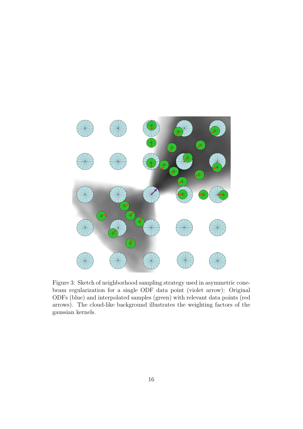

Figure 3: Sketch of neighborhood sampling strategy used in asymmetric conebeam regularization for a single ODF data point (violet arrow): Original ODFs (blue) and interpolated samples (green) with relevant data points (red arrows). The cloud-like background illustrates the weighting factors of the gaussian kernels.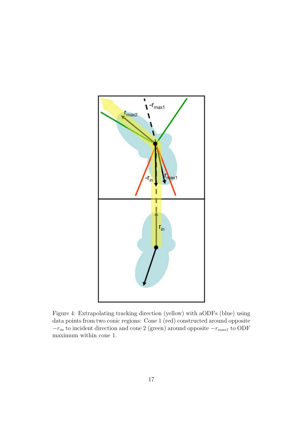

Figure 4: Extrapolating tracking direction (yellow) with aODFs (blue) using data points from two conic regions: Cone 1 (red) constructed around opposite  $-r_{in}$  to incident direction and cone 2 (green) around opposite  $-r_{max1}$  to ODF maximum within cone 1.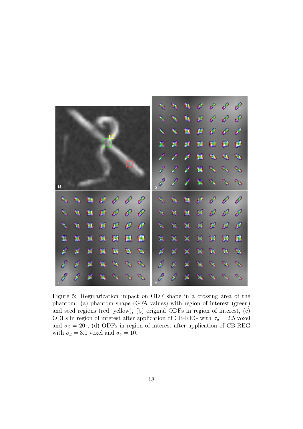

Figure 5: Regularization impact on ODF shape in a crossing area of the phantom: (a) phantom shape (GFA values) with region of interest (green) and seed regions (red, yellow), (b) original ODFs in region of interest, (c) ODFs in region of interest after application of CB-REG with  $\sigma_d = 2.5$  voxel and  $\sigma_{\delta} = 20$  , (d) ODFs in region of interest after application of CB-REG with  $\sigma_d = 3.0$  voxel and  $\sigma_{\delta} = 10$ .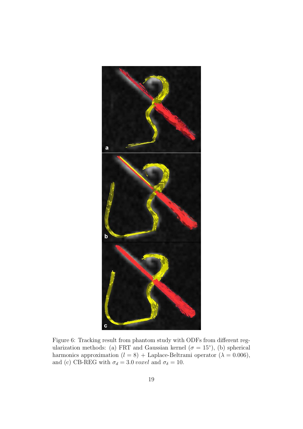

Figure 6: Tracking result from phantom study with ODFs from different regularization methods: (a) FRT and Gaussian kernel ( $\sigma = 15^{\circ}$ ), (b) spherical harmonics approximation ( $l = 8$ ) + Laplace-Beltrami operator ( $\lambda = 0.006$ ), and (c) CB-REG with  $\sigma_d=3.0 \: voxel$  and  $\sigma_\delta=10.$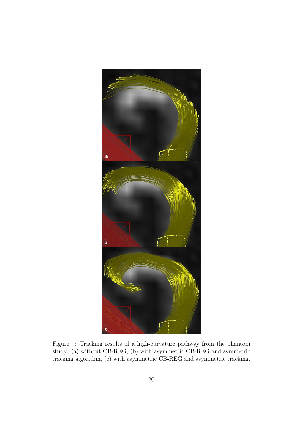

Figure 7: Tracking results of a high-curvature pathway from the phantom study: (a) without CB-REG, (b) with asymmetric CB-REG and symmetric tracking algorithm, (c) with asymmetric CB-REG and asymmetric tracking.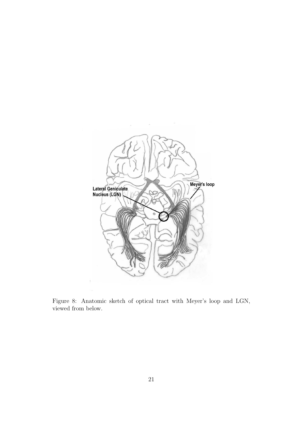

Figure 8: Anatomic sketch of optical tract with Meyer's loop and LGN, viewed from below.